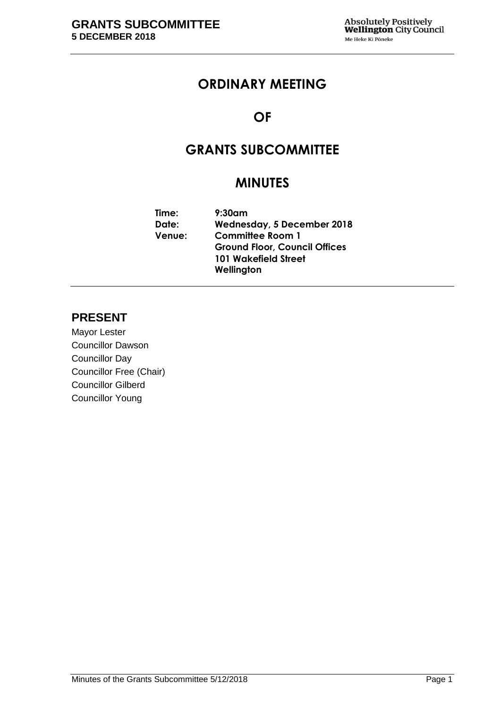# **ORDINARY MEETING**

# **OF**

# **GRANTS SUBCOMMITTEE**

# **MINUTES**

| Time:         | $9:30$ am                            |  |  |  |
|---------------|--------------------------------------|--|--|--|
| Date:         | <b>Wednesday, 5 December 2018</b>    |  |  |  |
| <b>Venue:</b> | <b>Committee Room 1</b>              |  |  |  |
|               | <b>Ground Floor, Council Offices</b> |  |  |  |
|               | 101 Wakefield Street                 |  |  |  |
|               | Wellington                           |  |  |  |

# **PRESENT**

Mayor Lester Councillor Dawson Councillor Day Councillor Free (Chair) Councillor Gilberd Councillor Young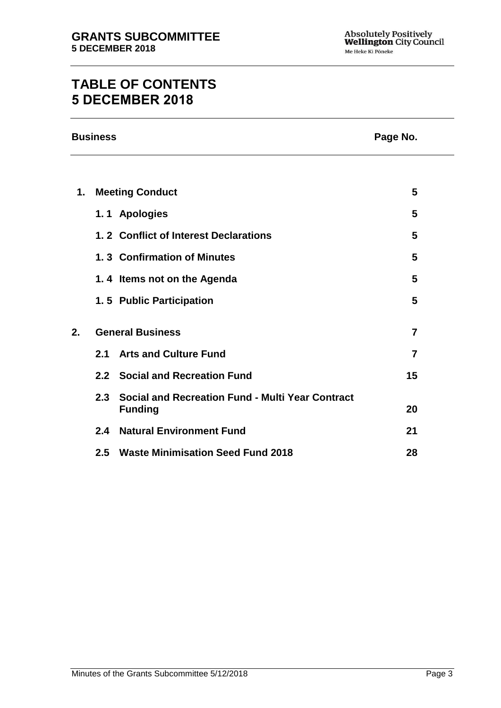# **TABLE OF CONTENTS 5 DECEMBER 2018**

|     | Page No.                                                                  |                                                                                                                                                                                                                                                                                                      |  |
|-----|---------------------------------------------------------------------------|------------------------------------------------------------------------------------------------------------------------------------------------------------------------------------------------------------------------------------------------------------------------------------------------------|--|
|     |                                                                           |                                                                                                                                                                                                                                                                                                      |  |
|     |                                                                           | 5                                                                                                                                                                                                                                                                                                    |  |
|     |                                                                           | 5                                                                                                                                                                                                                                                                                                    |  |
|     |                                                                           | 5                                                                                                                                                                                                                                                                                                    |  |
|     |                                                                           | 5                                                                                                                                                                                                                                                                                                    |  |
|     |                                                                           | 5                                                                                                                                                                                                                                                                                                    |  |
|     |                                                                           | 5                                                                                                                                                                                                                                                                                                    |  |
|     |                                                                           | $\overline{7}$                                                                                                                                                                                                                                                                                       |  |
| 2.1 | <b>Arts and Culture Fund</b>                                              | $\overline{7}$                                                                                                                                                                                                                                                                                       |  |
|     |                                                                           | 15                                                                                                                                                                                                                                                                                                   |  |
|     | <b>Social and Recreation Fund - Multi Year Contract</b><br><b>Funding</b> | 20                                                                                                                                                                                                                                                                                                   |  |
| 2.4 |                                                                           | 21                                                                                                                                                                                                                                                                                                   |  |
| 2.5 | <b>Waste Minimisation Seed Fund 2018</b>                                  | 28                                                                                                                                                                                                                                                                                                   |  |
|     |                                                                           | <b>Business</b><br><b>Meeting Conduct</b><br>1.1 Apologies<br>1.2 Conflict of Interest Declarations<br>1.3 Confirmation of Minutes<br>1.4 Items not on the Agenda<br>1.5 Public Participation<br><b>General Business</b><br>2.2 Social and Recreation Fund<br>2.3<br><b>Natural Environment Fund</b> |  |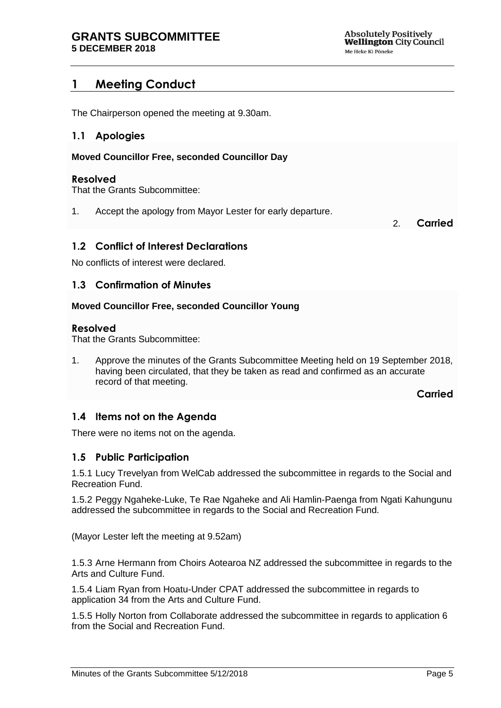# <span id="page-4-0"></span>**1 Meeting Conduct**

The Chairperson opened the meeting at 9.30am.

## <span id="page-4-1"></span>**1.1 Apologies**

**Moved Councillor Free, seconded Councillor Day**

#### **Resolved**

That the Grants Subcommittee:

1. Accept the apology from Mayor Lester for early departure.

2. **Carried**

## <span id="page-4-2"></span>**1.2 Conflict of Interest Declarations**

No conflicts of interest were declared.

## <span id="page-4-3"></span>**1.3 Confirmation of Minutes**

#### **Moved Councillor Free, seconded Councillor Young**

#### **Resolved**

That the Grants Subcommittee:

1. Approve the minutes of the Grants Subcommittee Meeting held on 19 September 2018, having been circulated, that they be taken as read and confirmed as an accurate record of that meeting.

**Carried**

## <span id="page-4-4"></span>**1.4 Items not on the Agenda**

There were no items not on the agenda.

#### **1.5 Public Participation**

1.5.1 Lucy Trevelyan from WelCab addressed the subcommittee in regards to the Social and Recreation Fund.

1.5.2 Peggy Ngaheke-Luke, Te Rae Ngaheke and Ali Hamlin-Paenga from Ngati Kahungunu addressed the subcommittee in regards to the Social and Recreation Fund.

(Mayor Lester left the meeting at 9.52am)

1.5.3 Arne Hermann from Choirs Aotearoa NZ addressed the subcommittee in regards to the Arts and Culture Fund.

1.5.4 Liam Ryan from Hoatu-Under CPAT addressed the subcommittee in regards to application 34 from the Arts and Culture Fund.

1.5.5 Holly Norton from Collaborate addressed the subcommittee in regards to application 6 from the Social and Recreation Fund.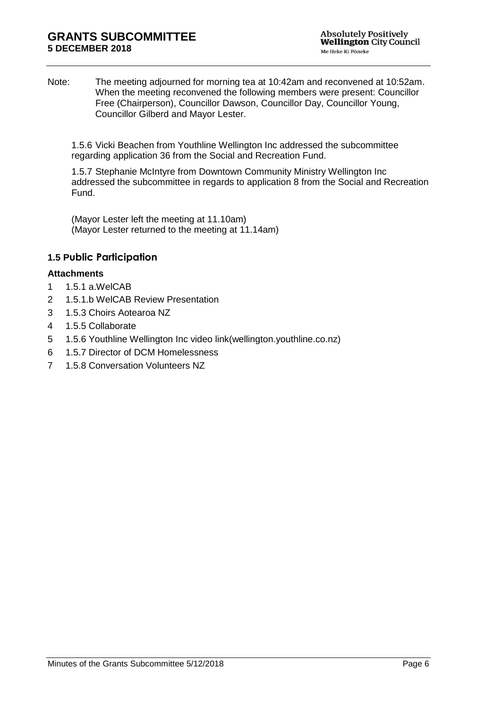Note: The meeting adjourned for morning tea at 10:42am and reconvened at 10:52am. When the meeting reconvened the following members were present: Councillor Free (Chairperson), Councillor Dawson, Councillor Day, Councillor Young, Councillor Gilberd and Mayor Lester.

1.5.6 Vicki Beachen from Youthline Wellington Inc addressed the subcommittee regarding application 36 from the Social and Recreation Fund.

1.5.7 Stephanie McIntyre from Downtown Community Ministry Wellington Inc addressed the subcommittee in regards to application 8 from the Social and Recreation Fund.

(Mayor Lester left the meeting at 11.10am) (Mayor Lester returned to the meeting at 11.14am)

## **1.5 Public Participation**

#### **Attachments**

- 1 1.5.1 a.WelCAB
- 2 1.5.1.b WelCAB Review Presentation
- 3 1.5.3 Choirs Aotearoa NZ
- 4 1.5.5 Collaborate
- 5 1.5.6 Youthline Wellington Inc video link(wellington.youthline.co.nz)
- 6 1.5.7 Director of DCM Homelessness
- 7 1.5.8 Conversation Volunteers NZ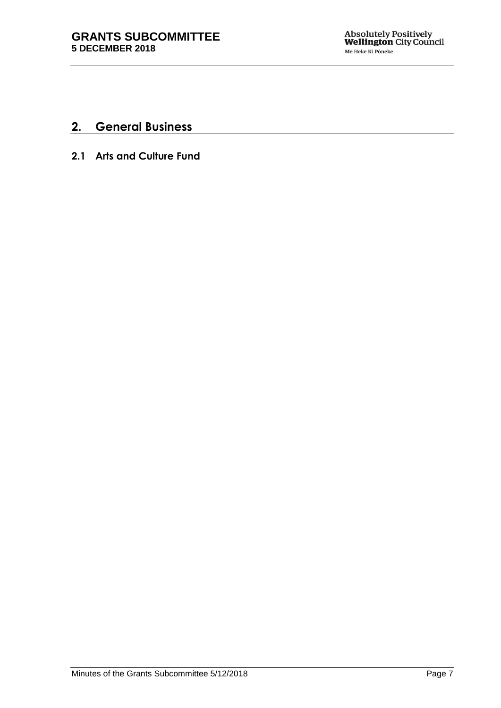# **2. General Business**

**2.1 Arts and Culture Fund**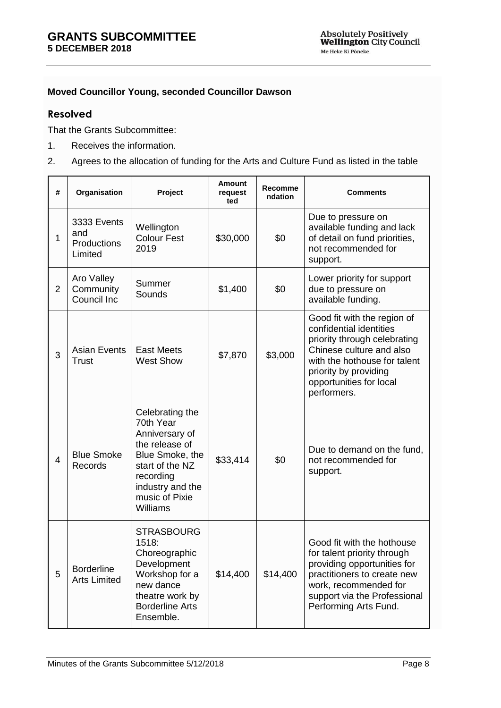## **Moved Councillor Young, seconded Councillor Dawson**

## **Resolved**

That the Grants Subcommittee:

- 1. Receives the information.
- 2. Agrees to the allocation of funding for the Arts and Culture Fund as listed in the table

| #              | Organisation                                 | Project                                                                                                                                                               | <b>Amount</b><br>request<br>ted | Recomme<br>ndation | <b>Comments</b>                                                                                                                                                                                                       |
|----------------|----------------------------------------------|-----------------------------------------------------------------------------------------------------------------------------------------------------------------------|---------------------------------|--------------------|-----------------------------------------------------------------------------------------------------------------------------------------------------------------------------------------------------------------------|
| 1              | 3333 Events<br>and<br>Productions<br>Limited | Wellington<br><b>Colour Fest</b><br>2019                                                                                                                              | \$30,000                        | \$0                | Due to pressure on<br>available funding and lack<br>of detail on fund priorities,<br>not recommended for<br>support.                                                                                                  |
| $\overline{2}$ | Aro Valley<br>Community<br>Council Inc       | Summer<br>Sounds                                                                                                                                                      | \$1,400                         | \$0                | Lower priority for support<br>due to pressure on<br>available funding.                                                                                                                                                |
| 3              | <b>Asian Events</b><br>Trust                 | <b>East Meets</b><br><b>West Show</b>                                                                                                                                 | \$7,870                         | \$3,000            | Good fit with the region of<br>confidential identities<br>priority through celebrating<br>Chinese culture and also<br>with the hothouse for talent<br>priority by providing<br>opportunities for local<br>performers. |
| $\overline{4}$ | <b>Blue Smoke</b><br>Records                 | Celebrating the<br>70th Year<br>Anniversary of<br>the release of<br>Blue Smoke, the<br>start of the NZ<br>recording<br>industry and the<br>music of Pixie<br>Williams | \$33,414                        | \$0                | Due to demand on the fund,<br>not recommended for<br>support.                                                                                                                                                         |
| 5              | <b>Borderline</b><br><b>Arts Limited</b>     | <b>STRASBOURG</b><br>1518:<br>Choreographic<br>Development<br>Workshop for a<br>new dance<br>theatre work by<br><b>Borderline Arts</b><br>Ensemble.                   | \$14,400                        | \$14,400           | Good fit with the hothouse<br>for talent priority through<br>providing opportunities for<br>practitioners to create new<br>work, recommended for<br>support via the Professional<br>Performing Arts Fund.             |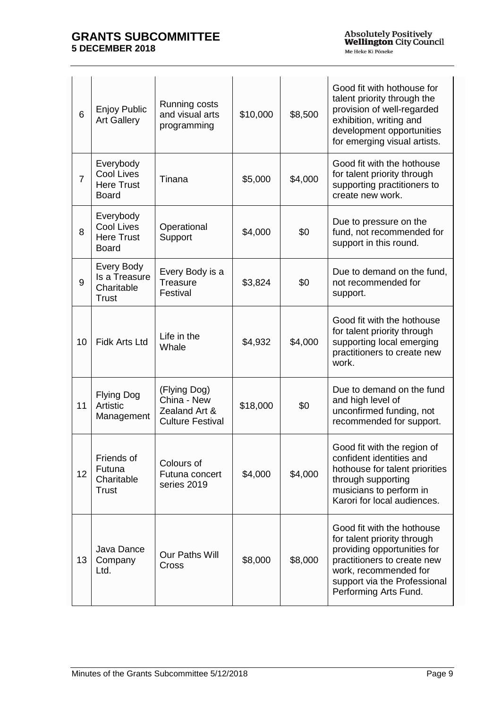| 6              | <b>Enjoy Public</b><br><b>Art Gallery</b>                    | Running costs<br>and visual arts<br>programming                         | \$10,000 | \$8,500 | Good fit with hothouse for<br>talent priority through the<br>provision of well-regarded<br>exhibition, writing and<br>development opportunities<br>for emerging visual artists.                           |
|----------------|--------------------------------------------------------------|-------------------------------------------------------------------------|----------|---------|-----------------------------------------------------------------------------------------------------------------------------------------------------------------------------------------------------------|
| $\overline{7}$ | Everybody<br>Cool Lives<br><b>Here Trust</b><br><b>Board</b> | Tinana                                                                  | \$5,000  | \$4,000 | Good fit with the hothouse<br>for talent priority through<br>supporting practitioners to<br>create new work.                                                                                              |
| 8              | Everybody<br>Cool Lives<br><b>Here Trust</b><br><b>Board</b> | Operational<br>Support                                                  | \$4,000  | \$0     | Due to pressure on the<br>fund, not recommended for<br>support in this round.                                                                                                                             |
| 9              | Every Body<br>Is a Treasure<br>Charitable<br><b>Trust</b>    | Every Body is a<br>Treasure<br>Festival                                 | \$3,824  | \$0     | Due to demand on the fund,<br>not recommended for<br>support.                                                                                                                                             |
| 10             | <b>Fidk Arts Ltd</b>                                         | Life in the<br>Whale                                                    | \$4,932  | \$4,000 | Good fit with the hothouse<br>for talent priority through<br>supporting local emerging<br>practitioners to create new<br>work.                                                                            |
| 11             | <b>Flying Dog</b><br>Artistic<br>Management                  | (Flying Dog)<br>China - New<br>Zealand Art &<br><b>Culture Festival</b> | \$18,000 | \$0     | Due to demand on the fund<br>and high level of<br>unconfirmed funding, not<br>recommended for support.                                                                                                    |
| 12             | Friends of<br>Futuna<br>Charitable<br><b>Trust</b>           | Colours of<br>Futuna concert<br>series 2019                             | \$4,000  | \$4,000 | Good fit with the region of<br>confident identities and<br>hothouse for talent priorities<br>through supporting<br>musicians to perform in<br>Karori for local audiences.                                 |
| 13             | Java Dance<br>Company<br>Ltd.                                | Our Paths Will<br>Cross                                                 | \$8,000  | \$8,000 | Good fit with the hothouse<br>for talent priority through<br>providing opportunities for<br>practitioners to create new<br>work, recommended for<br>support via the Professional<br>Performing Arts Fund. |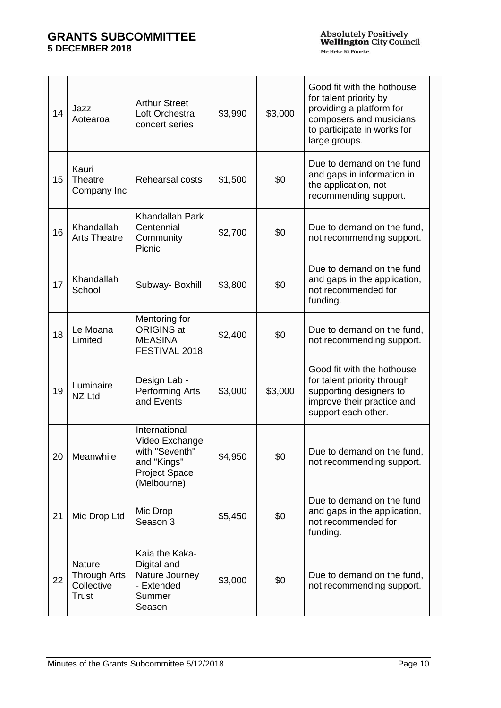| 14 | Jazz<br>Aotearoa                                            | <b>Arthur Street</b><br>Loft Orchestra<br>concert series                                                | \$3,990 | \$3,000 | Good fit with the hothouse<br>for talent priority by<br>providing a platform for<br>composers and musicians<br>to participate in works for<br>large groups. |
|----|-------------------------------------------------------------|---------------------------------------------------------------------------------------------------------|---------|---------|-------------------------------------------------------------------------------------------------------------------------------------------------------------|
| 15 | Kauri<br>Theatre<br>Company Inc                             | Rehearsal costs                                                                                         | \$1,500 | \$0     | Due to demand on the fund<br>and gaps in information in<br>the application, not<br>recommending support.                                                    |
| 16 | Khandallah<br><b>Arts Theatre</b>                           | Khandallah Park<br>Centennial<br>Community<br>Picnic                                                    | \$2,700 | \$0     | Due to demand on the fund,<br>not recommending support.                                                                                                     |
| 17 | Khandallah<br>School                                        | Subway-Boxhill                                                                                          | \$3,800 | \$0     | Due to demand on the fund<br>and gaps in the application,<br>not recommended for<br>funding.                                                                |
| 18 | Le Moana<br>Limited                                         | Mentoring for<br><b>ORIGINS at</b><br><b>MEASINA</b><br>FESTIVAL 2018                                   | \$2,400 | \$0     | Due to demand on the fund,<br>not recommending support.                                                                                                     |
| 19 | Luminaire<br>NZ Ltd                                         | Design Lab -<br><b>Performing Arts</b><br>and Events                                                    | \$3,000 | \$3,000 | Good fit with the hothouse<br>for talent priority through<br>supporting designers to<br>improve their practice and<br>support each other.                   |
| 20 | Meanwhile                                                   | International<br>Video Exchange<br>with "Seventh"<br>and "Kings"<br><b>Project Space</b><br>(Melbourne) | \$4,950 | \$0     | Due to demand on the fund.<br>not recommending support.                                                                                                     |
| 21 | Mic Drop Ltd                                                | Mic Drop<br>Season 3                                                                                    | \$5,450 | \$0     | Due to demand on the fund<br>and gaps in the application,<br>not recommended for<br>funding.                                                                |
| 22 | Nature<br><b>Through Arts</b><br>Collective<br><b>Trust</b> | Kaia the Kaka-<br>Digital and<br>Nature Journey<br>- Extended<br>Summer<br>Season                       | \$3,000 | \$0     | Due to demand on the fund,<br>not recommending support.                                                                                                     |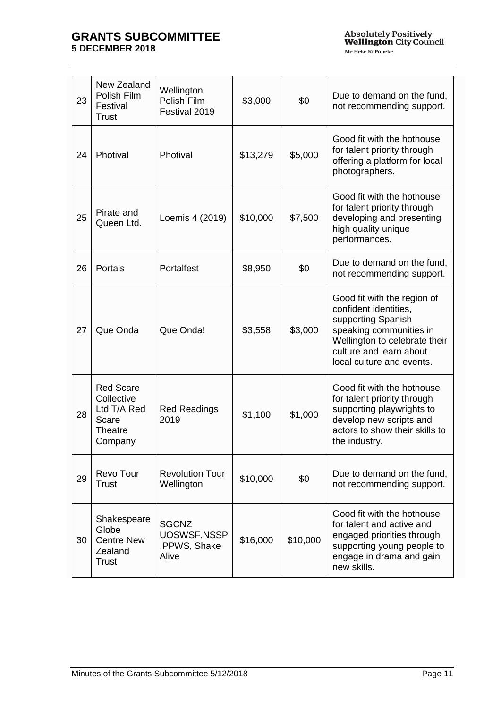| 23 | New Zealand<br>Polish Film<br>Festival<br><b>Trust</b>                       | Wellington<br>Polish Film<br>Festival 2019            | \$3,000  | \$0      | Due to demand on the fund,<br>not recommending support.                                                                                                                                        |
|----|------------------------------------------------------------------------------|-------------------------------------------------------|----------|----------|------------------------------------------------------------------------------------------------------------------------------------------------------------------------------------------------|
| 24 | Photival                                                                     | Photival                                              | \$13,279 | \$5,000  | Good fit with the hothouse<br>for talent priority through<br>offering a platform for local<br>photographers.                                                                                   |
| 25 | Pirate and<br>Queen Ltd.                                                     | Loemis 4 (2019)                                       | \$10,000 | \$7,500  | Good fit with the hothouse<br>for talent priority through<br>developing and presenting<br>high quality unique<br>performances.                                                                 |
| 26 | Portals                                                                      | Portalfest                                            | \$8,950  | \$0      | Due to demand on the fund,<br>not recommending support.                                                                                                                                        |
| 27 | Que Onda                                                                     | Que Onda!                                             | \$3,558  | \$3,000  | Good fit with the region of<br>confident identities,<br>supporting Spanish<br>speaking communities in<br>Wellington to celebrate their<br>culture and learn about<br>local culture and events. |
| 28 | <b>Red Scare</b><br>Collective<br>Ltd T/A Red<br>Scare<br>Theatre<br>Company | <b>Red Readings</b><br>2019                           | \$1,100  | \$1,000  | Good fit with the hothouse<br>for talent priority through<br>supporting playwrights to<br>develop new scripts and<br>actors to show their skills to<br>the industry.                           |
| 29 | Revo Tour<br><b>Trust</b>                                                    | <b>Revolution Tour</b><br>Wellington                  | \$10,000 | \$0      | Due to demand on the fund,<br>not recommending support.                                                                                                                                        |
| 30 | Shakespeare<br>Globe<br><b>Centre New</b><br>Zealand<br><b>Trust</b>         | <b>SGCNZ</b><br>UOSWSF, NSSP<br>,PPWS, Shake<br>Alive | \$16,000 | \$10,000 | Good fit with the hothouse<br>for talent and active and<br>engaged priorities through<br>supporting young people to<br>engage in drama and gain<br>new skills.                                 |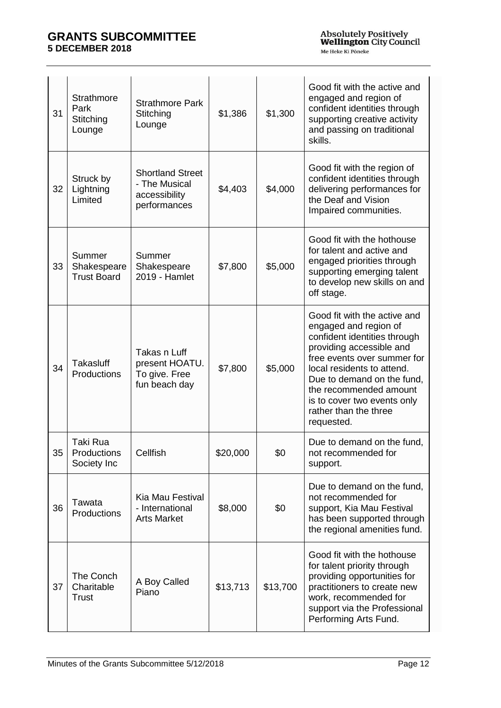| 31 | Strathmore<br>Park<br>Stitching<br>Lounge   | <b>Strathmore Park</b><br>Stitching<br>Lounge                             | \$1,386  | \$1,300  | Good fit with the active and<br>engaged and region of<br>confident identities through<br>supporting creative activity<br>and passing on traditional<br>skills.                                                                                                                                               |
|----|---------------------------------------------|---------------------------------------------------------------------------|----------|----------|--------------------------------------------------------------------------------------------------------------------------------------------------------------------------------------------------------------------------------------------------------------------------------------------------------------|
| 32 | Struck by<br>Lightning<br>Limited           | <b>Shortland Street</b><br>- The Musical<br>accessibility<br>performances | \$4,403  | \$4,000  | Good fit with the region of<br>confident identities through<br>delivering performances for<br>the Deaf and Vision<br>Impaired communities.                                                                                                                                                                   |
| 33 | Summer<br>Shakespeare<br><b>Trust Board</b> | Summer<br>Shakespeare<br>2019 - Hamlet                                    | \$7,800  | \$5,000  | Good fit with the hothouse<br>for talent and active and<br>engaged priorities through<br>supporting emerging talent<br>to develop new skills on and<br>off stage.                                                                                                                                            |
| 34 | Takasluff<br>Productions                    | Takas n Luff<br>present HOATU.<br>To give. Free<br>fun beach day          | \$7,800  | \$5,000  | Good fit with the active and<br>engaged and region of<br>confident identities through<br>providing accessible and<br>free events over summer for<br>local residents to attend.<br>Due to demand on the fund,<br>the recommended amount<br>is to cover two events only<br>rather than the three<br>requested. |
| 35 | Taki Rua<br>Productions<br>Society Inc      | Cellfish                                                                  | \$20,000 | \$0      | Due to demand on the fund,<br>not recommended for<br>support.                                                                                                                                                                                                                                                |
| 36 | Tawata<br>Productions                       | Kia Mau Festival<br>- International<br><b>Arts Market</b>                 | \$8,000  | \$0      | Due to demand on the fund,<br>not recommended for<br>support, Kia Mau Festival<br>has been supported through<br>the regional amenities fund.                                                                                                                                                                 |
| 37 | The Conch<br>Charitable<br><b>Trust</b>     | A Boy Called<br>Piano                                                     | \$13,713 | \$13,700 | Good fit with the hothouse<br>for talent priority through<br>providing opportunities for<br>practitioners to create new<br>work, recommended for<br>support via the Professional<br>Performing Arts Fund.                                                                                                    |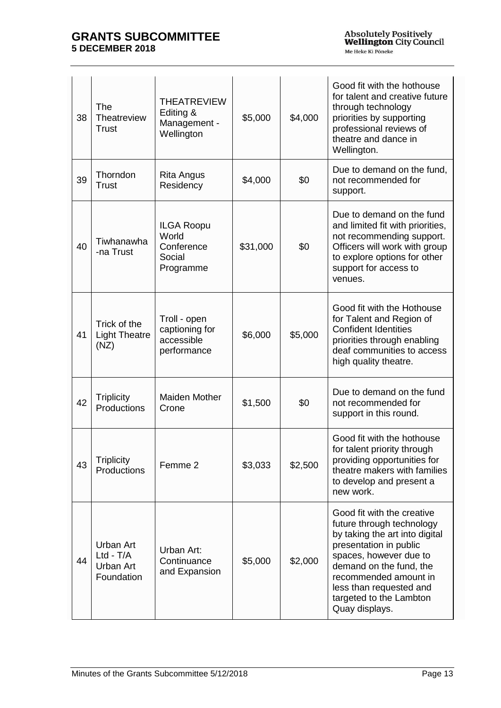| 38 | The<br>Theatreview<br><b>Trust</b>                  | <b>THEATREVIEW</b><br>Editing &<br>Management -<br>Wellington   | \$5,000  | \$4,000 | Good fit with the hothouse<br>for talent and creative future<br>through technology<br>priorities by supporting<br>professional reviews of<br>theatre and dance in<br>Wellington.                                                                                          |
|----|-----------------------------------------------------|-----------------------------------------------------------------|----------|---------|---------------------------------------------------------------------------------------------------------------------------------------------------------------------------------------------------------------------------------------------------------------------------|
| 39 | Thorndon<br><b>Trust</b>                            | <b>Rita Angus</b><br>Residency                                  | \$4,000  | \$0     | Due to demand on the fund.<br>not recommended for<br>support.                                                                                                                                                                                                             |
| 40 | Tiwhanawha<br>-na Trust                             | <b>ILGA Roopu</b><br>World<br>Conference<br>Social<br>Programme | \$31,000 | \$0     | Due to demand on the fund<br>and limited fit with priorities,<br>not recommending support.<br>Officers will work with group<br>to explore options for other<br>support for access to<br>venues.                                                                           |
| 41 | Trick of the<br><b>Light Theatre</b><br>(NZ)        | Troll - open<br>captioning for<br>accessible<br>performance     | \$6,000  | \$5,000 | Good fit with the Hothouse<br>for Talent and Region of<br><b>Confident Identities</b><br>priorities through enabling<br>deaf communities to access<br>high quality theatre.                                                                                               |
| 42 | <b>Triplicity</b><br>Productions                    | Maiden Mother<br>Crone                                          | \$1,500  | \$0     | Due to demand on the fund<br>not recommended for<br>support in this round.                                                                                                                                                                                                |
| 43 | <b>Triplicity</b><br>Productions                    | Femme 2                                                         | \$3,033  | \$2,500 | Good fit with the hothouse<br>for talent priority through<br>providing opportunities for<br>theatre makers with families<br>to develop and present a<br>new work.                                                                                                         |
| 44 | Urban Art<br>$Ltd - T/A$<br>Urban Art<br>Foundation | Urban Art:<br>Continuance<br>and Expansion                      | \$5,000  | \$2,000 | Good fit with the creative<br>future through technology<br>by taking the art into digital<br>presentation in public<br>spaces, however due to<br>demand on the fund, the<br>recommended amount in<br>less than requested and<br>targeted to the Lambton<br>Quay displays. |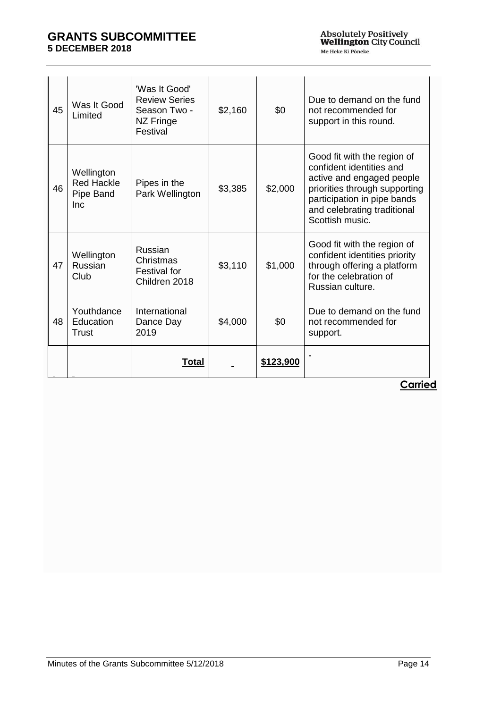| 45 | Was It Good<br>Limited                              | 'Was It Good'<br><b>Review Series</b><br>Season Two -<br>NZ Fringe<br>Festival | \$2,160 | \$0       | Due to demand on the fund<br>not recommended for<br>support in this round.                                                                                                                             |
|----|-----------------------------------------------------|--------------------------------------------------------------------------------|---------|-----------|--------------------------------------------------------------------------------------------------------------------------------------------------------------------------------------------------------|
| 46 | Wellington<br><b>Red Hackle</b><br>Pipe Band<br>Inc | Pipes in the<br>Park Wellington                                                | \$3,385 | \$2,000   | Good fit with the region of<br>confident identities and<br>active and engaged people<br>priorities through supporting<br>participation in pipe bands<br>and celebrating traditional<br>Scottish music. |
| 47 | Wellington<br>Russian<br>Club                       | Russian<br>Christmas<br><b>Festival for</b><br>Children 2018                   | \$3,110 | \$1,000   | Good fit with the region of<br>confident identities priority<br>through offering a platform<br>for the celebration of<br>Russian culture.                                                              |
| 48 | Youthdance<br>Education<br>Trust                    | International<br>Dance Day<br>2019                                             | \$4,000 | \$0       | Due to demand on the fund<br>not recommended for<br>support.                                                                                                                                           |
|    |                                                     | Total                                                                          |         | \$123,900 |                                                                                                                                                                                                        |

**Carried**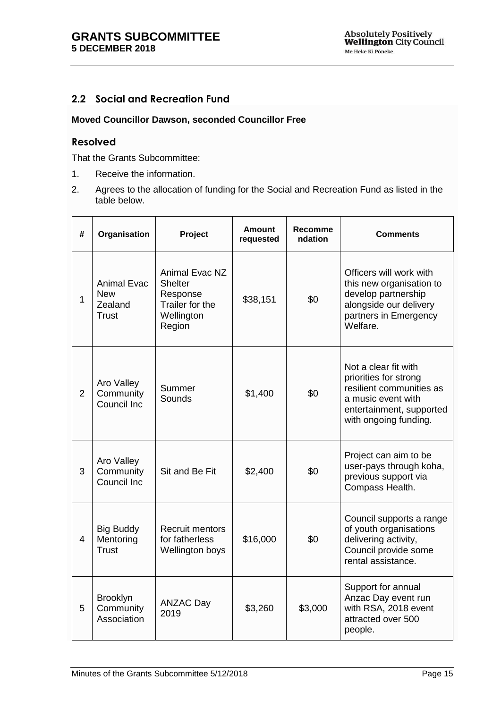# <span id="page-14-0"></span>**2.2 Social and Recreation Fund**

#### **Moved Councillor Dawson, seconded Councillor Free**

#### **Resolved**

That the Grants Subcommittee:

- 1. Receive the information.
- 2. Agrees to the allocation of funding for the Social and Recreation Fund as listed in the table below.

| #              | Organisation                                                | Project                                                                                 | <b>Amount</b><br>requested | <b>Recomme</b><br>ndation | <b>Comments</b>                                                                                                                                      |
|----------------|-------------------------------------------------------------|-----------------------------------------------------------------------------------------|----------------------------|---------------------------|------------------------------------------------------------------------------------------------------------------------------------------------------|
| $\mathbf{1}$   | <b>Animal Evac</b><br><b>New</b><br>Zealand<br><b>Trust</b> | Animal Evac NZ<br><b>Shelter</b><br>Response<br>Trailer for the<br>Wellington<br>Region | \$38,151                   | \$0                       | Officers will work with<br>this new organisation to<br>develop partnership<br>alongside our delivery<br>partners in Emergency<br>Welfare.            |
| $\overline{2}$ | Aro Valley<br>Community<br>Council Inc                      | Summer<br>Sounds                                                                        | \$1,400                    | \$0                       | Not a clear fit with<br>priorities for strong<br>resilient communities as<br>a music event with<br>entertainment, supported<br>with ongoing funding. |
| 3              | Aro Valley<br>Community<br>Council Inc                      | Sit and Be Fit                                                                          | \$2,400                    | \$0                       | Project can aim to be<br>user-pays through koha,<br>previous support via<br>Compass Health.                                                          |
| $\overline{4}$ | <b>Big Buddy</b><br>Mentoring<br><b>Trust</b>               | Recruit mentors<br>for fatherless<br>Wellington boys                                    | \$16,000                   | \$0                       | Council supports a range<br>of youth organisations<br>delivering activity,<br>Council provide some<br>rental assistance.                             |
| 5              | Brooklyn<br>Community<br>Association                        | <b>ANZAC Day</b><br>2019                                                                | \$3,260                    | \$3,000                   | Support for annual<br>Anzac Day event run<br>with RSA, 2018 event<br>attracted over 500<br>people.                                                   |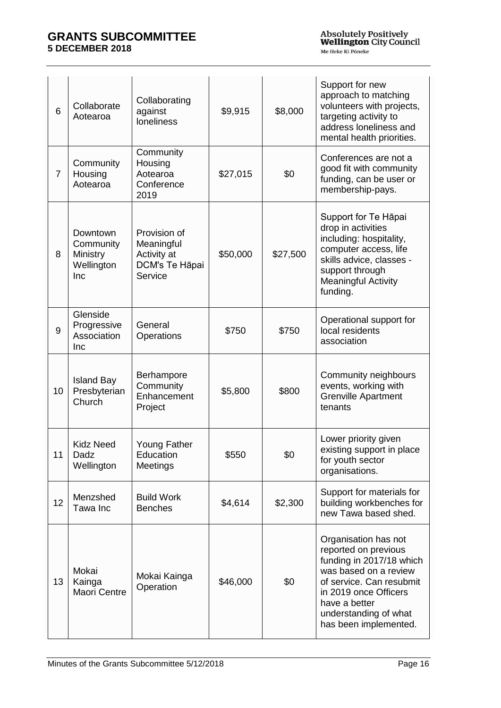| $6\phantom{1}$ | Collaborate<br>Aotearoa                                | Collaborating<br>against<br>loneliness                                 | \$9,915  | \$8,000  | Support for new<br>approach to matching<br>volunteers with projects,<br>targeting activity to<br>address loneliness and<br>mental health priorities.                                                                      |
|----------------|--------------------------------------------------------|------------------------------------------------------------------------|----------|----------|---------------------------------------------------------------------------------------------------------------------------------------------------------------------------------------------------------------------------|
| $\overline{7}$ | Community<br>Housing<br>Aotearoa                       | Community<br>Housing<br>Aotearoa<br>Conference<br>2019                 | \$27,015 | \$0      | Conferences are not a<br>good fit with community<br>funding, can be user or<br>membership-pays.                                                                                                                           |
| 8              | Downtown<br>Community<br>Ministry<br>Wellington<br>Inc | Provision of<br>Meaningful<br>Activity at<br>DCM's Te Hāpai<br>Service | \$50,000 | \$27,500 | Support for Te Hāpai<br>drop in activities<br>including: hospitality,<br>computer access, life<br>skills advice, classes -<br>support through<br><b>Meaningful Activity</b><br>funding.                                   |
| 9              | Glenside<br>Progressive<br>Association<br><b>Inc</b>   | General<br>Operations                                                  | \$750    | \$750    | Operational support for<br>local residents<br>association                                                                                                                                                                 |
| 10             | <b>Island Bay</b><br>Presbyterian<br>Church            | Berhampore<br>Community<br>Enhancement<br>Project                      | \$5,800  | \$800    | Community neighbours<br>events, working with<br><b>Grenville Apartment</b><br>tenants                                                                                                                                     |
| 11             | <b>Kidz Need</b><br>Dadz<br>Wellington                 | Young Father<br>Education<br>Meetings                                  | \$550    | \$0      | Lower priority given<br>existing support in place<br>for youth sector<br>organisations.                                                                                                                                   |
| 12             | Menzshed<br>Tawa Inc                                   | <b>Build Work</b><br><b>Benches</b>                                    | \$4,614  | \$2,300  | Support for materials for<br>building workbenches for<br>new Tawa based shed.                                                                                                                                             |
| 13             | Mokai<br>Kainga<br>Maori Centre                        | Mokai Kainga<br>Operation                                              | \$46,000 | \$0      | Organisation has not<br>reported on previous<br>funding in 2017/18 which<br>was based on a review<br>of service. Can resubmit<br>in 2019 once Officers<br>have a better<br>understanding of what<br>has been implemented. |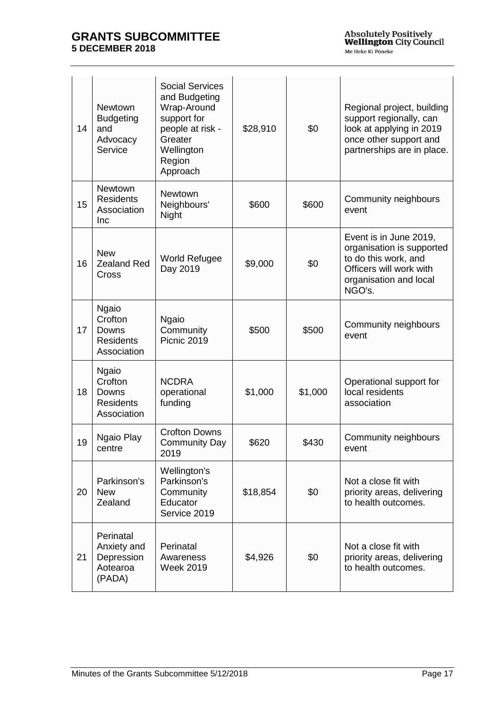| 14 | <b>Newtown</b><br><b>Budgeting</b><br>and<br>Advocacy<br>Service    | <b>Social Services</b><br>and Budgeting<br>Wrap-Around<br>support for<br>people at risk -<br>Greater<br>Wellington<br>Region<br>Approach | \$28,910 | \$0     | Regional project, building<br>support regionally, can<br>look at applying in 2019<br>once other support and<br>partnerships are in place.  |
|----|---------------------------------------------------------------------|------------------------------------------------------------------------------------------------------------------------------------------|----------|---------|--------------------------------------------------------------------------------------------------------------------------------------------|
| 15 | <b>Newtown</b><br><b>Residents</b><br>Association<br>Inc            | Newtown<br>Neighbours'<br>Night                                                                                                          | \$600    | \$600   | Community neighbours<br>event                                                                                                              |
| 16 | <b>New</b><br><b>Zealand Red</b><br>Cross                           | <b>World Refugee</b><br>Day 2019                                                                                                         | \$9,000  | \$0     | Event is in June 2019,<br>organisation is supported<br>to do this work, and<br>Officers will work with<br>organisation and local<br>NGO's. |
| 17 | <b>Ngaio</b><br>Crofton<br>Downs<br><b>Residents</b><br>Association | <b>Ngaio</b><br>Community<br>Picnic 2019                                                                                                 | \$500    | \$500   | Community neighbours<br>event                                                                                                              |
| 18 | <b>Ngaio</b><br>Crofton<br>Downs<br><b>Residents</b><br>Association | <b>NCDRA</b><br>operational<br>funding                                                                                                   | \$1,000  | \$1,000 | Operational support for<br>local residents<br>association                                                                                  |
| 19 | Ngaio Play<br>centre                                                | <b>Crofton Downs</b><br><b>Community Day</b><br>2019                                                                                     | \$620    | \$430   | Community neighbours<br>event                                                                                                              |
| 20 | Parkinson's<br><b>New</b><br>Zealand                                | Wellington's<br>Parkinson's<br>Community<br>Educator<br>Service 2019                                                                     | \$18,854 | \$0     | Not a close fit with<br>priority areas, delivering<br>to health outcomes.                                                                  |
| 21 | Perinatal<br>Anxiety and<br>Depression<br>Aotearoa<br>(PADA)        | Perinatal<br>Awareness<br><b>Week 2019</b>                                                                                               | \$4,926  | \$0     | Not a close fit with<br>priority areas, delivering<br>to health outcomes.                                                                  |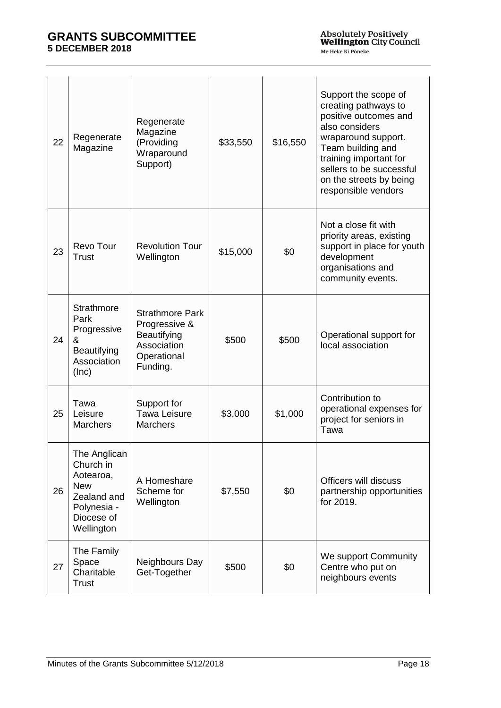| 22 | Regenerate<br>Magazine                                                                                         | Regenerate<br>Magazine<br>(Providing<br>Wraparound<br>Support)                                   | \$33,550 | \$16,550 | Support the scope of<br>creating pathways to<br>positive outcomes and<br>also considers<br>wraparound support.<br>Team building and<br>training important for<br>sellers to be successful<br>on the streets by being<br>responsible vendors |
|----|----------------------------------------------------------------------------------------------------------------|--------------------------------------------------------------------------------------------------|----------|----------|---------------------------------------------------------------------------------------------------------------------------------------------------------------------------------------------------------------------------------------------|
| 23 | Revo Tour<br>Trust                                                                                             | <b>Revolution Tour</b><br>Wellington                                                             | \$15,000 | \$0      | Not a close fit with<br>priority areas, existing<br>support in place for youth<br>development<br>organisations and<br>community events.                                                                                                     |
| 24 | Strathmore<br>Park<br>Progressive<br>&<br>Beautifying<br>Association<br>(Inc)                                  | <b>Strathmore Park</b><br>Progressive &<br>Beautifying<br>Association<br>Operational<br>Funding. | \$500    | \$500    | Operational support for<br>local association                                                                                                                                                                                                |
| 25 | Tawa<br>Leisure<br><b>Marchers</b>                                                                             | Support for<br><b>Tawa Leisure</b><br><b>Marchers</b>                                            | \$3,000  | \$1,000  | Contribution to<br>operational expenses for<br>project for seniors in<br>Tawa                                                                                                                                                               |
| 26 | The Anglican<br>Church in<br>Aotearoa,<br><b>New</b><br>Zealand and<br>Polynesia -<br>Diocese of<br>Wellington | A Homeshare<br>Scheme for<br>Wellington                                                          | \$7,550  | \$0      | Officers will discuss<br>partnership opportunities<br>for 2019.                                                                                                                                                                             |
| 27 | The Family<br>Space<br>Charitable<br><b>Trust</b>                                                              | Neighbours Day<br>Get-Together                                                                   | \$500    | \$0      | We support Community<br>Centre who put on<br>neighbours events                                                                                                                                                                              |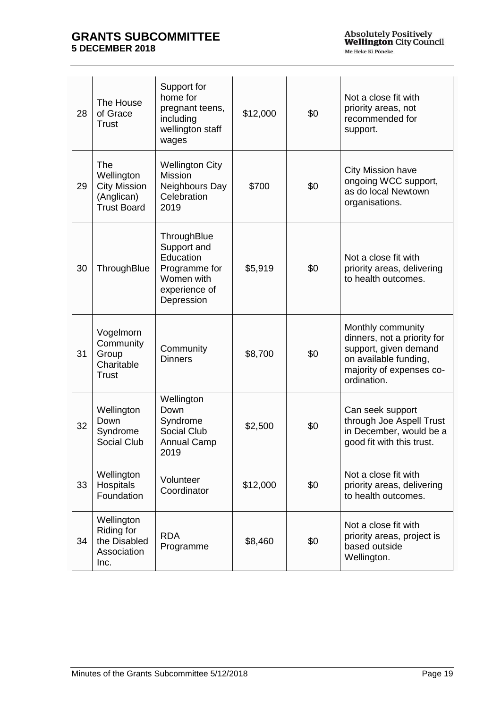| 28 | The House<br>of Grace<br><b>Trust</b>                                        | Support for<br>home for<br>pregnant teens,<br>including<br>wellington staff<br>wages                  | \$12,000 | \$0 | Not a close fit with<br>priority areas, not<br>recommended for<br>support.                                                                    |
|----|------------------------------------------------------------------------------|-------------------------------------------------------------------------------------------------------|----------|-----|-----------------------------------------------------------------------------------------------------------------------------------------------|
| 29 | The<br>Wellington<br><b>City Mission</b><br>(Anglican)<br><b>Trust Board</b> | <b>Wellington City</b><br>Mission<br>Neighbours Day<br>Celebration<br>2019                            | \$700    | \$0 | <b>City Mission have</b><br>ongoing WCC support,<br>as do local Newtown<br>organisations.                                                     |
| 30 | ThroughBlue                                                                  | ThroughBlue<br>Support and<br>Education<br>Programme for<br>Women with<br>experience of<br>Depression | \$5,919  | \$0 | Not a close fit with<br>priority areas, delivering<br>to health outcomes.                                                                     |
| 31 | Vogelmorn<br>Community<br>Group<br>Charitable<br><b>Trust</b>                | Community<br><b>Dinners</b>                                                                           | \$8,700  | \$0 | Monthly community<br>dinners, not a priority for<br>support, given demand<br>on available funding,<br>majority of expenses co-<br>ordination. |
| 32 | Wellington<br>Down<br>Syndrome<br>Social Club                                | Wellington<br>Down<br>Syndrome<br>Social Club<br><b>Annual Camp</b><br>2019                           | \$2,500  | \$0 | Can seek support<br>through Joe Aspell Trust<br>in December, would be a<br>good fit with this trust.                                          |
| 33 | Wellington<br><b>Hospitals</b><br>Foundation                                 | Volunteer<br>Coordinator                                                                              | \$12,000 | \$0 | Not a close fit with<br>priority areas, delivering<br>to health outcomes.                                                                     |
| 34 | Wellington<br>Riding for<br>the Disabled<br>Association<br>Inc.              | <b>RDA</b><br>Programme                                                                               | \$8,460  | \$0 | Not a close fit with<br>priority areas, project is<br>based outside<br>Wellington.                                                            |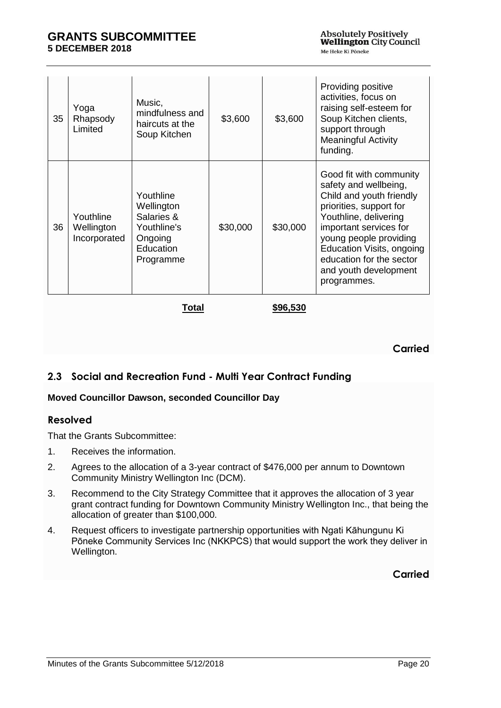| 35 | Yoga<br>Rhapsody<br>Limited             | Music,<br>mindfulness and<br>haircuts at the<br>Soup Kitchen                              | \$3,600  | \$3,600  | Providing positive<br>activities, focus on<br>raising self-esteem for<br>Soup Kitchen clients,<br>support through<br><b>Meaningful Activity</b><br>funding.                                                                                                                           |
|----|-----------------------------------------|-------------------------------------------------------------------------------------------|----------|----------|---------------------------------------------------------------------------------------------------------------------------------------------------------------------------------------------------------------------------------------------------------------------------------------|
| 36 | Youthline<br>Wellington<br>Incorporated | Youthline<br>Wellington<br>Salaries &<br>Youthline's<br>Ongoing<br>Education<br>Programme | \$30,000 | \$30,000 | Good fit with community<br>safety and wellbeing,<br>Child and youth friendly<br>priorities, support for<br>Youthline, delivering<br>important services for<br>young people providing<br>Education Visits, ongoing<br>education for the sector<br>and youth development<br>programmes. |

**Total \$96,530**

## **Carried**

# <span id="page-19-0"></span>**2.3 Social and Recreation Fund - Multi Year Contract Funding**

## **Moved Councillor Dawson, seconded Councillor Day**

## **Resolved**

That the Grants Subcommittee:

- 1. Receives the information.
- 2. Agrees to the allocation of a 3-year contract of \$476,000 per annum to Downtown Community Ministry Wellington Inc (DCM).
- 3. Recommend to the City Strategy Committee that it approves the allocation of 3 year grant contract funding for Downtown Community Ministry Wellington Inc., that being the allocation of greater than \$100,000.
- 4. Request officers to investigate partnership opportunities with Ngati Kāhungunu Ki Pōneke Community Services Inc (NKKPCS) that would support the work they deliver in Wellington.

## **Carried**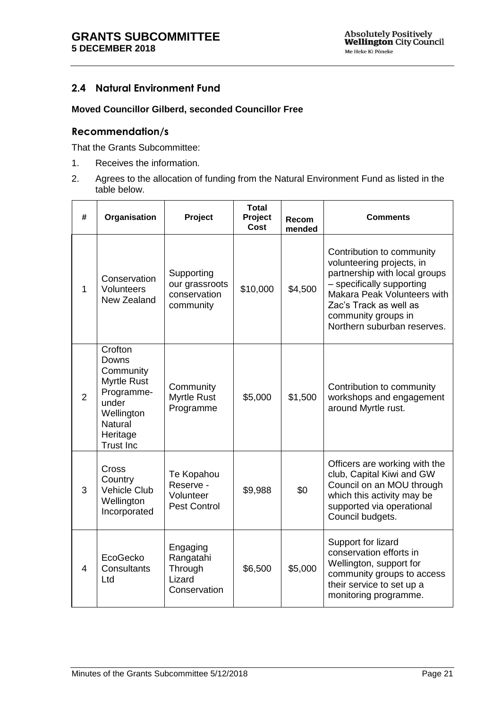# <span id="page-20-0"></span>**2.4 Natural Environment Fund**

### **Moved Councillor Gilberd, seconded Councillor Free**

## **Recommendation/s**

That the Grants Subcommittee:

- 1. Receives the information.
- 2. Agrees to the allocation of funding from the Natural Environment Fund as listed in the table below.

| #              | Organisation                                                                                                                               | Project                                                     | <b>Total</b><br>Project<br>Cost | Recom<br>mended | Comments                                                                                                                                                                                                                            |
|----------------|--------------------------------------------------------------------------------------------------------------------------------------------|-------------------------------------------------------------|---------------------------------|-----------------|-------------------------------------------------------------------------------------------------------------------------------------------------------------------------------------------------------------------------------------|
| $\mathbf{1}$   | Conservation<br>Volunteers<br>New Zealand                                                                                                  | Supporting<br>our grassroots<br>conservation<br>community   | \$10,000                        | \$4,500         | Contribution to community<br>volunteering projects, in<br>partnership with local groups<br>- specifically supporting<br>Makara Peak Volunteers with<br>Zac's Track as well as<br>community groups in<br>Northern suburban reserves. |
| $\overline{2}$ | Crofton<br>Downs<br>Community<br><b>Myrtle Rust</b><br>Programme-<br>under<br>Wellington<br><b>Natural</b><br>Heritage<br><b>Trust Inc</b> | Community<br>Myrtle Rust<br>Programme                       | \$5,000                         | \$1,500         | Contribution to community<br>workshops and engagement<br>around Myrtle rust.                                                                                                                                                        |
| 3              | Cross<br>Country<br><b>Vehicle Club</b><br>Wellington<br>Incorporated                                                                      | Te Kopahou<br>Reserve -<br>Volunteer<br><b>Pest Control</b> | \$9,988                         | \$0             | Officers are working with the<br>club, Capital Kiwi and GW<br>Council on an MOU through<br>which this activity may be<br>supported via operational<br>Council budgets.                                                              |
| $\overline{4}$ | EcoGecko<br><b>Consultants</b><br>Ltd                                                                                                      | Engaging<br>Rangatahi<br>Through<br>Lizard<br>Conservation  | \$6,500                         | \$5,000         | Support for lizard<br>conservation efforts in<br>Wellington, support for<br>community groups to access<br>their service to set up a<br>monitoring programme.                                                                        |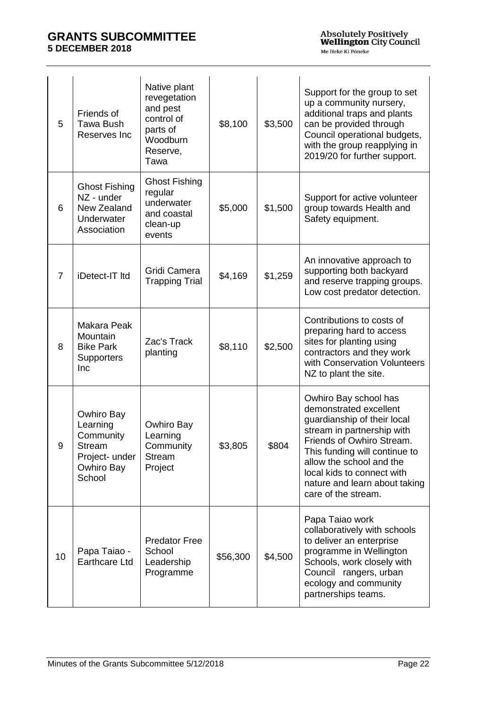| 5  | Friends of<br><b>Tawa Bush</b><br>Reserves Inc                                          | Native plant<br>revegetation<br>and pest<br>control of<br>parts of<br>Woodburn<br>Reserve,<br>Tawa | \$8,100  | \$3,500 | Support for the group to set<br>up a community nursery,<br>additional traps and plants<br>can be provided through<br>Council operational budgets,<br>with the group reapplying in<br>2019/20 for further support.                                                                            |
|----|-----------------------------------------------------------------------------------------|----------------------------------------------------------------------------------------------------|----------|---------|----------------------------------------------------------------------------------------------------------------------------------------------------------------------------------------------------------------------------------------------------------------------------------------------|
| 6  | <b>Ghost Fishing</b><br>NZ - under<br>New Zealand<br>Underwater<br>Association          | <b>Ghost Fishing</b><br>regular<br>underwater<br>and coastal<br>clean-up<br>events                 | \$5,000  | \$1,500 | Support for active volunteer<br>group towards Health and<br>Safety equipment.                                                                                                                                                                                                                |
| 7  | iDetect-IT Itd                                                                          | Gridi Camera<br><b>Trapping Trial</b>                                                              | \$4,169  | \$1,259 | An innovative approach to<br>supporting both backyard<br>and reserve trapping groups.<br>Low cost predator detection.                                                                                                                                                                        |
| 8  | Makara Peak<br>Mountain<br><b>Bike Park</b><br><b>Supporters</b><br>Inc                 | Zac's Track<br>planting                                                                            | \$8,110  | \$2,500 | Contributions to costs of<br>preparing hard to access<br>sites for planting using<br>contractors and they work<br>with Conservation Volunteers<br>NZ to plant the site.                                                                                                                      |
| 9  | Owhiro Bay<br>Learning<br>Community<br>Stream<br>Project- under<br>Owhiro Bay<br>School | Owhiro Bay<br>Learning<br>Community<br><b>Stream</b><br>Project                                    | \$3,805  | \$804   | Owhiro Bay school has<br>demonstrated excellent<br>guardianship of their local<br>stream in partnership with<br>Friends of Owhiro Stream.<br>This funding will continue to<br>allow the school and the<br>local kids to connect with<br>nature and learn about taking<br>care of the stream. |
| 10 | Papa Taiao -<br>Earthcare Ltd                                                           | <b>Predator Free</b><br>School<br>Leadership<br>Programme                                          | \$56,300 | \$4,500 | Papa Taiao work<br>collaboratively with schools<br>to deliver an enterprise<br>programme in Wellington<br>Schools, work closely with<br>Council rangers, urban<br>ecology and community<br>partnerships teams.                                                                               |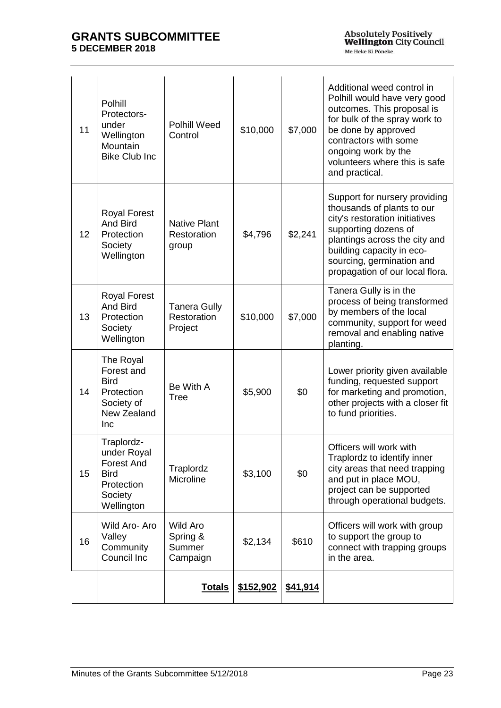| 11 | Polhill<br>Protectors-<br>under<br>Wellington<br>Mountain<br><b>Bike Club Inc</b>                    | <b>Polhill Weed</b><br>Control                    | \$10,000  | \$7,000         | Additional weed control in<br>Polhill would have very good<br>outcomes. This proposal is<br>for bulk of the spray work to<br>be done by approved<br>contractors with some<br>ongoing work by the<br>volunteers where this is safe<br>and practical. |
|----|------------------------------------------------------------------------------------------------------|---------------------------------------------------|-----------|-----------------|-----------------------------------------------------------------------------------------------------------------------------------------------------------------------------------------------------------------------------------------------------|
| 12 | <b>Royal Forest</b><br><b>And Bird</b><br>Protection<br>Society<br>Wellington                        | <b>Native Plant</b><br>Restoration<br>group       | \$4,796   | \$2,241         | Support for nursery providing<br>thousands of plants to our<br>city's restoration initiatives<br>supporting dozens of<br>plantings across the city and<br>building capacity in eco-<br>sourcing, germination and<br>propagation of our local flora. |
| 13 | <b>Royal Forest</b><br>And Bird<br>Protection<br>Society<br>Wellington                               | <b>Tanera Gully</b><br>Restoration<br>Project     | \$10,000  | \$7,000         | Tanera Gully is in the<br>process of being transformed<br>by members of the local<br>community, support for weed<br>removal and enabling native<br>planting.                                                                                        |
| 14 | The Royal<br>Forest and<br><b>Bird</b><br>Protection<br>Society of<br>New Zealand<br>Inc             | Be With A<br><b>Tree</b>                          | \$5,900   | \$0             | Lower priority given available<br>funding, requested support<br>for marketing and promotion,<br>other projects with a closer fit<br>to fund priorities.                                                                                             |
| 15 | Traplordz-<br>under Royal<br><b>Forest And</b><br><b>Bird</b><br>Protection<br>Society<br>Wellington | Traplordz<br>Microline                            | \$3,100   | \$0             | Officers will work with<br>Traplordz to identify inner<br>city areas that need trapping<br>and put in place MOU,<br>project can be supported<br>through operational budgets.                                                                        |
| 16 | Wild Aro- Aro<br>Valley<br>Community<br>Council Inc                                                  | <b>Wild Aro</b><br>Spring &<br>Summer<br>Campaign | \$2,134   | \$610           | Officers will work with group<br>to support the group to<br>connect with trapping groups<br>in the area.                                                                                                                                            |
|    |                                                                                                      | <b>Totals</b>                                     | \$152,902 | <u>\$41,914</u> |                                                                                                                                                                                                                                                     |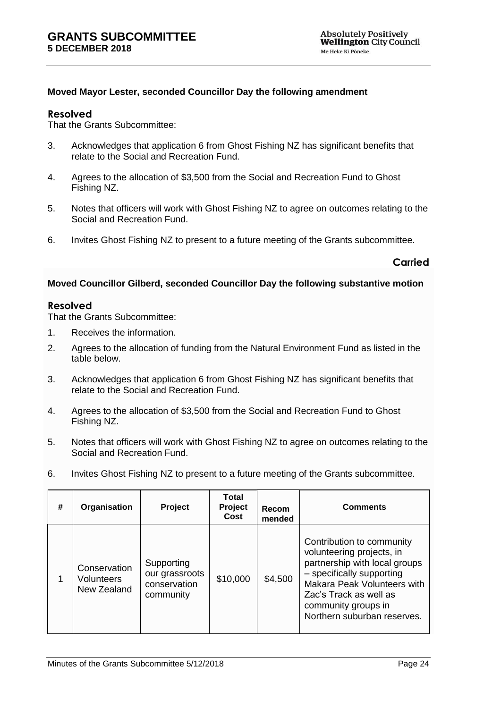#### **Moved Mayor Lester, seconded Councillor Day the following amendment**

#### **Resolved**

That the Grants Subcommittee:

- 3. Acknowledges that application 6 from Ghost Fishing NZ has significant benefits that relate to the Social and Recreation Fund.
- 4. Agrees to the allocation of \$3,500 from the Social and Recreation Fund to Ghost Fishing NZ.
- 5. Notes that officers will work with Ghost Fishing NZ to agree on outcomes relating to the Social and Recreation Fund.
- 6. Invites Ghost Fishing NZ to present to a future meeting of the Grants subcommittee.

#### **Carried**

#### **Moved Councillor Gilberd, seconded Councillor Day the following substantive motion**

#### **Resolved**

That the Grants Subcommittee:

- 1. Receives the information.
- 2. Agrees to the allocation of funding from the Natural Environment Fund as listed in the table below.
- 3. Acknowledges that application 6 from Ghost Fishing NZ has significant benefits that relate to the Social and Recreation Fund.
- 4. Agrees to the allocation of \$3,500 from the Social and Recreation Fund to Ghost Fishing NZ.
- 5. Notes that officers will work with Ghost Fishing NZ to agree on outcomes relating to the Social and Recreation Fund.
- 6. Invites Ghost Fishing NZ to present to a future meeting of the Grants subcommittee.

| # | Organisation                                     | Project                                                   | <b>Total</b><br>Project<br>Cost | Recom<br>mended | <b>Comments</b>                                                                                                                                                                                                                     |
|---|--------------------------------------------------|-----------------------------------------------------------|---------------------------------|-----------------|-------------------------------------------------------------------------------------------------------------------------------------------------------------------------------------------------------------------------------------|
|   | Conservation<br><b>Volunteers</b><br>New Zealand | Supporting<br>our grassroots<br>conservation<br>community | \$10,000                        | \$4,500         | Contribution to community<br>volunteering projects, in<br>partnership with local groups<br>- specifically supporting<br>Makara Peak Volunteers with<br>Zac's Track as well as<br>community groups in<br>Northern suburban reserves. |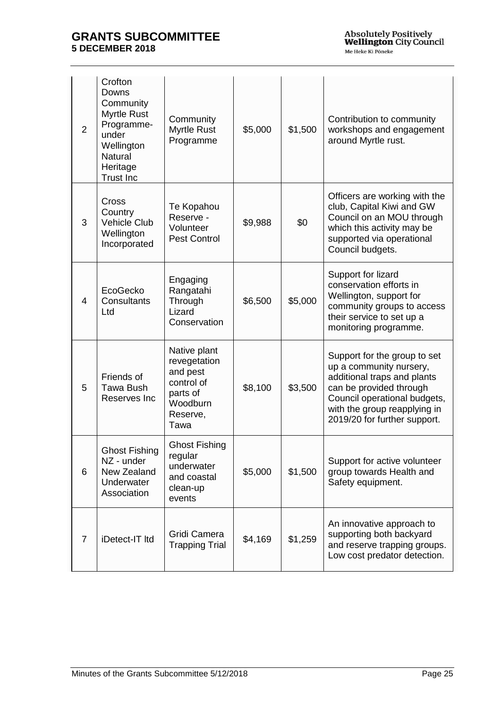| $\overline{2}$ | Crofton<br>Downs<br>Community<br><b>Myrtle Rust</b><br>Programme-<br>under<br>Wellington<br><b>Natural</b><br>Heritage<br><b>Trust Inc</b> | Community<br>Myrtle Rust<br>Programme                                                              | \$5,000 | \$1,500 | Contribution to community<br>workshops and engagement<br>around Myrtle rust.                                                                                                                                      |
|----------------|--------------------------------------------------------------------------------------------------------------------------------------------|----------------------------------------------------------------------------------------------------|---------|---------|-------------------------------------------------------------------------------------------------------------------------------------------------------------------------------------------------------------------|
| 3              | Cross<br>Country<br><b>Vehicle Club</b><br>Wellington<br>Incorporated                                                                      | Te Kopahou<br>Reserve -<br>Volunteer<br><b>Pest Control</b>                                        | \$9,988 | \$0     | Officers are working with the<br>club, Capital Kiwi and GW<br>Council on an MOU through<br>which this activity may be<br>supported via operational<br>Council budgets.                                            |
| 4              | EcoGecko<br>Consultants<br>Ltd                                                                                                             | Engaging<br>Rangatahi<br>Through<br>Lizard<br>Conservation                                         | \$6,500 | \$5,000 | Support for lizard<br>conservation efforts in<br>Wellington, support for<br>community groups to access<br>their service to set up a<br>monitoring programme.                                                      |
| 5              | Friends of<br><b>Tawa Bush</b><br>Reserves Inc                                                                                             | Native plant<br>revegetation<br>and pest<br>control of<br>parts of<br>Woodburn<br>Reserve,<br>Tawa | \$8,100 | \$3,500 | Support for the group to set<br>up a community nursery,<br>additional traps and plants<br>can be provided through<br>Council operational budgets,<br>with the group reapplying in<br>2019/20 for further support. |
| 6              | <b>Ghost Fishing</b><br>NZ - under<br>New Zealand<br>Underwater<br>Association                                                             | <b>Ghost Fishing</b><br>regular<br>underwater<br>and coastal<br>clean-up<br>events                 | \$5,000 | \$1,500 | Support for active volunteer<br>group towards Health and<br>Safety equipment.                                                                                                                                     |
| $\overline{7}$ | iDetect-IT Itd                                                                                                                             | Gridi Camera<br><b>Trapping Trial</b>                                                              | \$4,169 | \$1,259 | An innovative approach to<br>supporting both backyard<br>and reserve trapping groups.<br>Low cost predator detection.                                                                                             |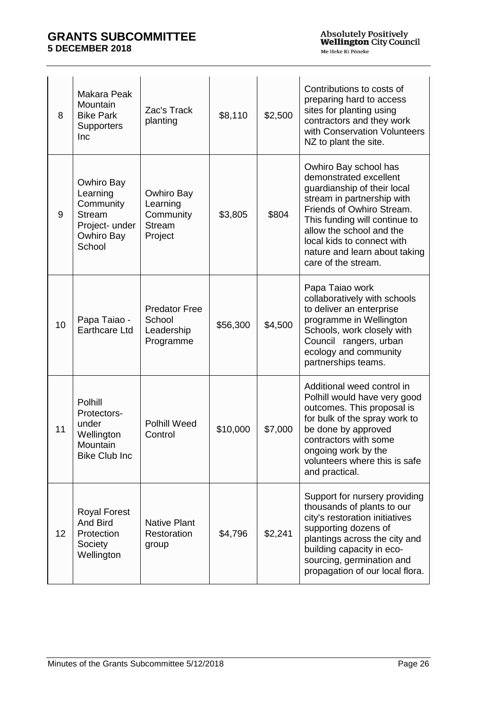| 8  | Makara Peak<br>Mountain<br><b>Bike Park</b><br><b>Supporters</b><br>Inc                        | Zac's Track<br>planting                                         | \$8,110  | \$2,500 | Contributions to costs of<br>preparing hard to access<br>sites for planting using<br>contractors and they work<br>with Conservation Volunteers<br>NZ to plant the site.                                                                                                                      |
|----|------------------------------------------------------------------------------------------------|-----------------------------------------------------------------|----------|---------|----------------------------------------------------------------------------------------------------------------------------------------------------------------------------------------------------------------------------------------------------------------------------------------------|
| 9  | Owhiro Bay<br>Learning<br>Community<br><b>Stream</b><br>Project- under<br>Owhiro Bay<br>School | Owhiro Bay<br>Learning<br>Community<br><b>Stream</b><br>Project | \$3,805  | \$804   | Owhiro Bay school has<br>demonstrated excellent<br>guardianship of their local<br>stream in partnership with<br>Friends of Owhiro Stream.<br>This funding will continue to<br>allow the school and the<br>local kids to connect with<br>nature and learn about taking<br>care of the stream. |
| 10 | Papa Taiao -<br><b>Earthcare Ltd</b>                                                           | <b>Predator Free</b><br>School<br>Leadership<br>Programme       | \$56,300 | \$4,500 | Papa Taiao work<br>collaboratively with schools<br>to deliver an enterprise<br>programme in Wellington<br>Schools, work closely with<br>Council rangers, urban<br>ecology and community<br>partnerships teams.                                                                               |
| 11 | Polhill<br>Protectors-<br>under<br>Wellington<br>Mountain<br><b>Bike Club Inc</b>              | <b>Polhill Weed</b><br>Control                                  | \$10,000 | \$7,000 | Additional weed control in<br>Polhill would have very good<br>outcomes. This proposal is<br>for bulk of the spray work to<br>be done by approved<br>contractors with some<br>ongoing work by the<br>volunteers where this is safe<br>and practical.                                          |
| 12 | <b>Royal Forest</b><br>And Bird<br>Protection<br>Society<br>Wellington                         | <b>Native Plant</b><br>Restoration<br>group                     | \$4,796  | \$2,241 | Support for nursery providing<br>thousands of plants to our<br>city's restoration initiatives<br>supporting dozens of<br>plantings across the city and<br>building capacity in eco-<br>sourcing, germination and<br>propagation of our local flora.                                          |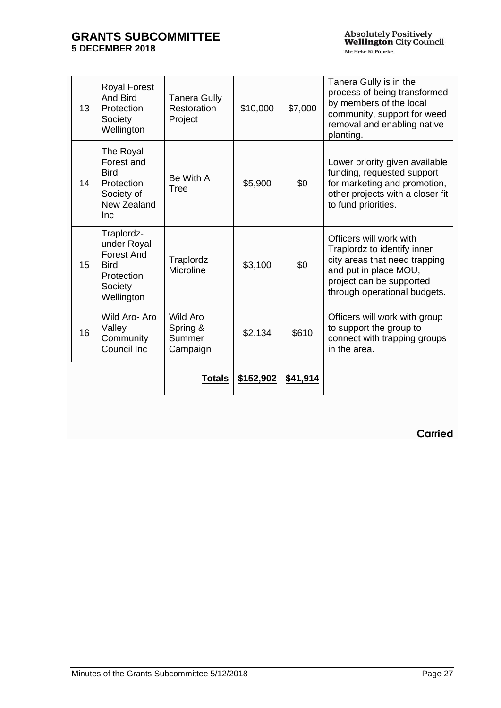| 13 | <b>Royal Forest</b><br>And Bird<br>Protection<br>Society<br>Wellington                               | <b>Tanera Gully</b><br>Restoration<br>Project | \$10,000  | \$7,000  | Tanera Gully is in the<br>process of being transformed<br>by members of the local<br>community, support for weed<br>removal and enabling native<br>planting.                 |
|----|------------------------------------------------------------------------------------------------------|-----------------------------------------------|-----------|----------|------------------------------------------------------------------------------------------------------------------------------------------------------------------------------|
| 14 | The Royal<br>Forest and<br><b>Bird</b><br>Protection<br>Society of<br>New Zealand<br>Inc.            | Be With A<br>Tree                             | \$5,900   | \$0      | Lower priority given available<br>funding, requested support<br>for marketing and promotion,<br>other projects with a closer fit<br>to fund priorities.                      |
| 15 | Traplordz-<br>under Royal<br><b>Forest And</b><br><b>Bird</b><br>Protection<br>Society<br>Wellington | Traplordz<br>Microline                        | \$3,100   | \$0      | Officers will work with<br>Traplordz to identify inner<br>city areas that need trapping<br>and put in place MOU,<br>project can be supported<br>through operational budgets. |
| 16 | Wild Aro-Aro<br>Valley<br>Community<br>Council Inc                                                   | Wild Aro<br>Spring &<br>Summer<br>Campaign    | \$2,134   | \$610    | Officers will work with group<br>to support the group to<br>connect with trapping groups<br>in the area.                                                                     |
|    |                                                                                                      | Totals                                        | \$152,902 | \$41,914 |                                                                                                                                                                              |

**Carried**